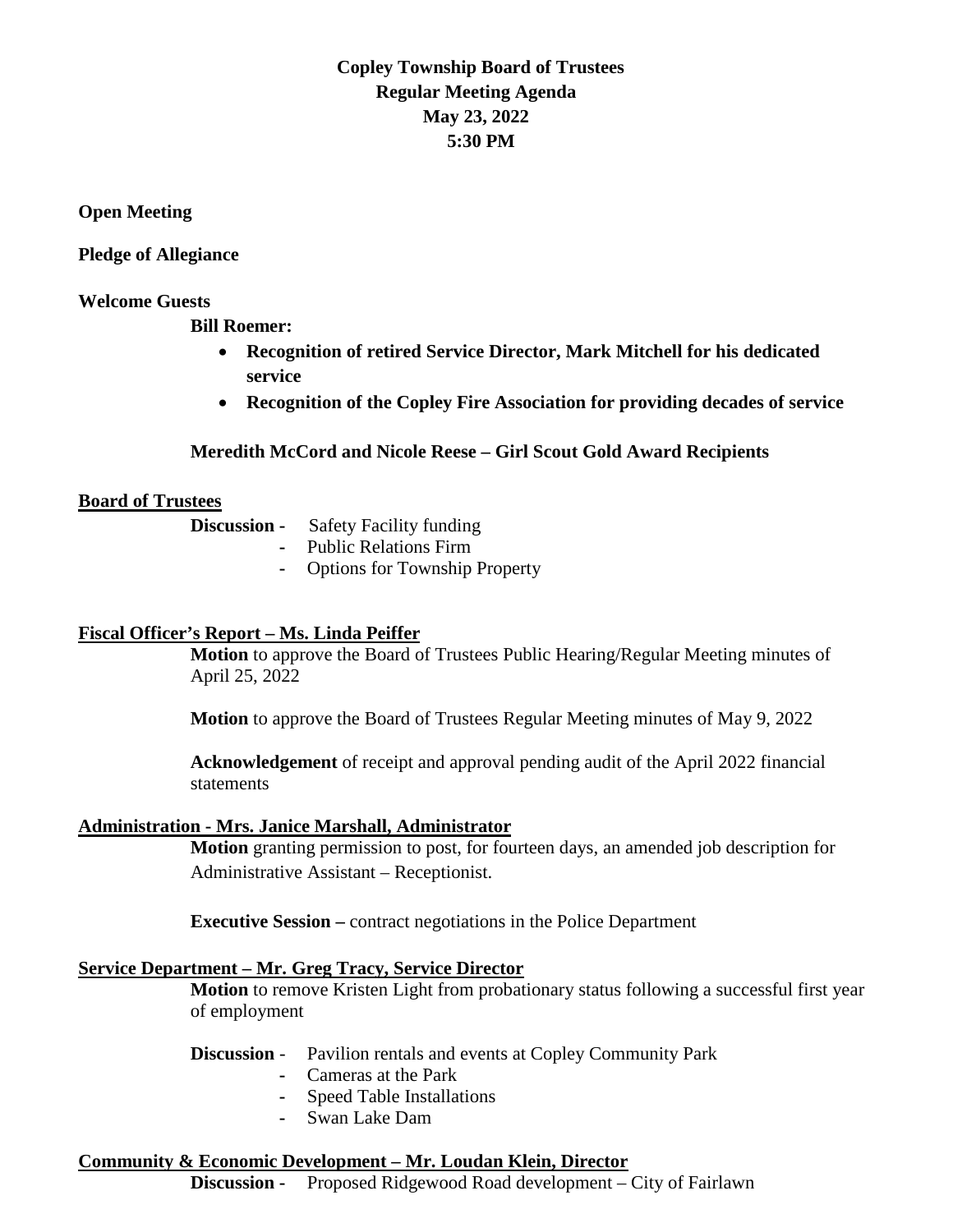## **Copley Township Board of Trustees Regular Meeting Agenda May 23, 2022 5:30 PM**

**Open Meeting**

**Pledge of Allegiance** 

#### **Welcome Guests**

**Bill Roemer:**

- **Recognition of retired Service Director, Mark Mitchell for his dedicated service**
- **Recognition of the Copley Fire Association for providing decades of service**

## **Meredith McCord and Nicole Reese – Girl Scout Gold Award Recipients**

#### **Board of Trustees**

| Discussion - | <b>Safety Facility funding</b> |
|--------------|--------------------------------|
|              | <b>Public Relations Firm</b>   |

**-** Options for Township Property

## **Fiscal Officer's Report – Ms. Linda Peiffer**

**Motion** to approve the Board of Trustees Public Hearing/Regular Meeting minutes of April 25, 2022

**Motion** to approve the Board of Trustees Regular Meeting minutes of May 9, 2022

**Acknowledgement** of receipt and approval pending audit of the April 2022 financial statements

#### **Administration - Mrs. Janice Marshall, Administrator**

**Motion** granting permission to post, for fourteen days, an amended job description for Administrative Assistant – Receptionist.

**Executive Session –** contract negotiations in the Police Department

## **Service Department – Mr. Greg Tracy, Service Director**

**Motion** to remove Kristen Light from probationary status following a successful first year of employment

#### **Discussion** - Pavilion rentals and events at Copley Community Park

- **-** Cameras at the Park
- **-** Speed Table Installations
- **-** Swan Lake Dam

## **Community & Economic Development – Mr. Loudan Klein, Director**

**Discussion -** Proposed Ridgewood Road development – City of Fairlawn